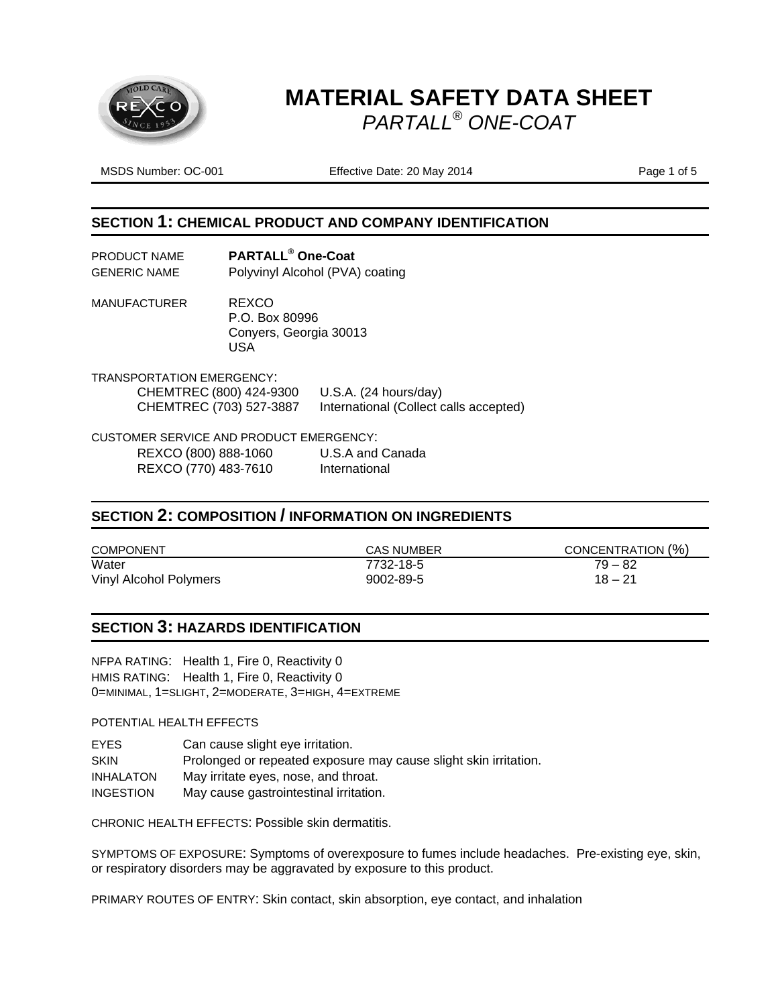

MSDS Number: OC-001 **Effective Date: 20 May 2014** Page 1 of 5

#### **SECTION 1: CHEMICAL PRODUCT AND COMPANY IDENTIFICATION**

| PRODUCT NAME        | <b>PARTALL<sup>®</sup> One-Coat</b> |
|---------------------|-------------------------------------|
| <b>GENERIC NAME</b> | Polyvinyl Alcohol (PVA) coating     |

MANUFACTURER REXCO P.O. Box 80996 Conyers, Georgia 30013 USA

TRANSPORTATION EMERGENCY: CHEMTREC (800) 424-9300 U.S.A. (24 hours/day) CHEMTREC (703) 527-3887 International (Collect calls accepted)

CUSTOMER SERVICE AND PRODUCT EMERGENCY: REXCO (800) 888-1060 U.S.A and Canada<br>REXCO (770) 483-7610 International REXCO (770) 483-7610

#### **SECTION 2: COMPOSITION / INFORMATION ON INGREDIENTS**

| <b>COMPONENT</b>       | <b>CAS NUMBER</b> | CONCENTRATION (%) |
|------------------------|-------------------|-------------------|
| Water                  | 7732-18-5         | 79 – 82           |
| Vinyl Alcohol Polymers | 9002-89-5         | $18 - 21$         |

#### **SECTION 3: HAZARDS IDENTIFICATION**

NFPA RATING: Health 1, Fire 0, Reactivity 0 HMIS RATING: Health 1, Fire 0, Reactivity 0 0=MINIMAL, 1=SLIGHT, 2=MODERATE, 3=HIGH, 4=EXTREME

POTENTIAL HEALTH EFFECTS

EYES Can cause slight eye irritation. SKIN Prolonged or repeated exposure may cause slight skin irritation. INHALATON May irritate eyes, nose, and throat. INGESTION May cause gastrointestinal irritation.

CHRONIC HEALTH EFFECTS: Possible skin dermatitis.

SYMPTOMS OF EXPOSURE: Symptoms of overexposure to fumes include headaches. Pre-existing eye, skin, or respiratory disorders may be aggravated by exposure to this product.

PRIMARY ROUTES OF ENTRY: Skin contact, skin absorption, eye contact, and inhalation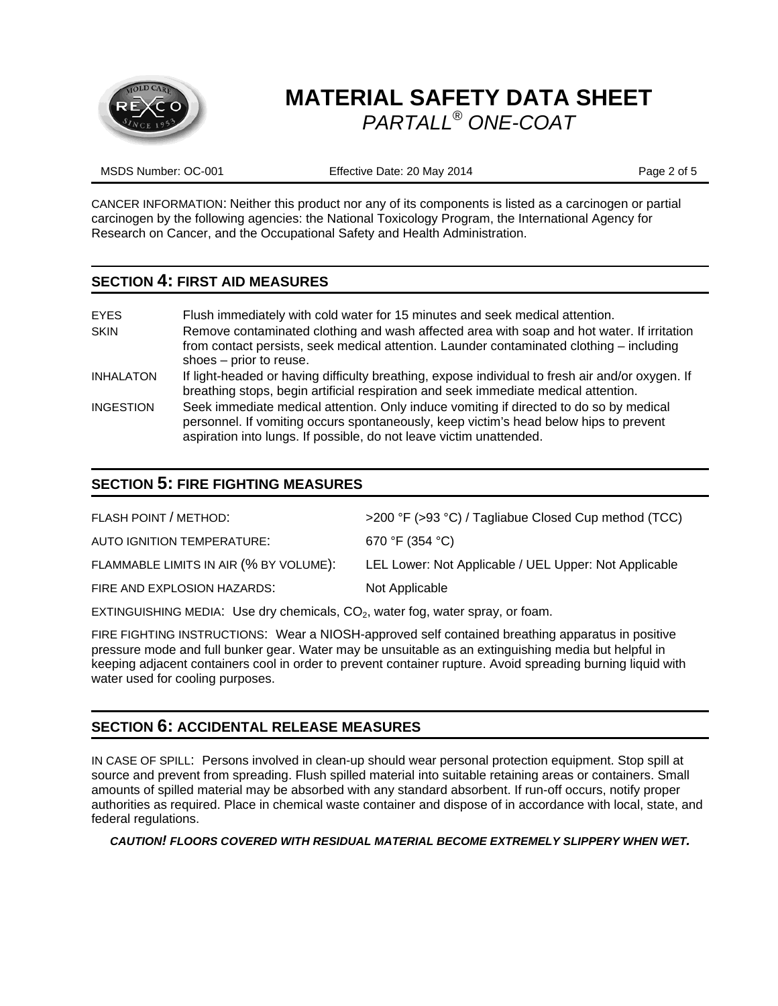

MSDS Number: OC-001 **Effective Date: 20 May 2014** Page 2 of 5

CANCER INFORMATION: Neither this product nor any of its components is listed as a carcinogen or partial carcinogen by the following agencies: the National Toxicology Program, the International Agency for Research on Cancer, and the Occupational Safety and Health Administration.

#### **SECTION 4: FIRST AID MEASURES**

| <b>EYES</b><br><b>SKIN</b> | Flush immediately with cold water for 15 minutes and seek medical attention.<br>Remove contaminated clothing and wash affected area with soap and hot water. If irritation<br>from contact persists, seek medical attention. Launder contaminated clothing – including<br>shoes - prior to reuse. |
|----------------------------|---------------------------------------------------------------------------------------------------------------------------------------------------------------------------------------------------------------------------------------------------------------------------------------------------|
| <b>INHALATON</b>           | If light-headed or having difficulty breathing, expose individual to fresh air and/or oxygen. If<br>breathing stops, begin artificial respiration and seek immediate medical attention.                                                                                                           |
| <b>INGESTION</b>           | Seek immediate medical attention. Only induce vomiting if directed to do so by medical<br>personnel. If vomiting occurs spontaneously, keep victim's head below hips to prevent<br>aspiration into lungs. If possible, do not leave victim unattended.                                            |

## **SECTION 5: FIRE FIGHTING MEASURES**

| FLASH POINT / METHOD:                  | >200 °F (>93 °C) / Tagliabue Closed Cup method (TCC)  |
|----------------------------------------|-------------------------------------------------------|
| AUTO IGNITION TEMPERATURE:             | 670 °F (354 °C)                                       |
| FLAMMABLE LIMITS IN AIR (% BY VOLUME): | LEL Lower: Not Applicable / UEL Upper: Not Applicable |
| FIRE AND EXPLOSION HAZARDS:            | Not Applicable                                        |
|                                        |                                                       |

EXTINGUISHING MEDIA: Use dry chemicals,  $CO<sub>2</sub>$ , water fog, water spray, or foam.

FIRE FIGHTING INSTRUCTIONS: Wear a NIOSH-approved self contained breathing apparatus in positive pressure mode and full bunker gear. Water may be unsuitable as an extinguishing media but helpful in keeping adjacent containers cool in order to prevent container rupture. Avoid spreading burning liquid with water used for cooling purposes.

### **SECTION 6: ACCIDENTAL RELEASE MEASURES**

IN CASE OF SPILL: Persons involved in clean-up should wear personal protection equipment. Stop spill at source and prevent from spreading. Flush spilled material into suitable retaining areas or containers. Small amounts of spilled material may be absorbed with any standard absorbent. If run-off occurs, notify proper authorities as required. Place in chemical waste container and dispose of in accordance with local, state, and federal regulations.

*CAUTION! FLOORS COVERED WITH RESIDUAL MATERIAL BECOME EXTREMELY SLIPPERY WHEN WET.*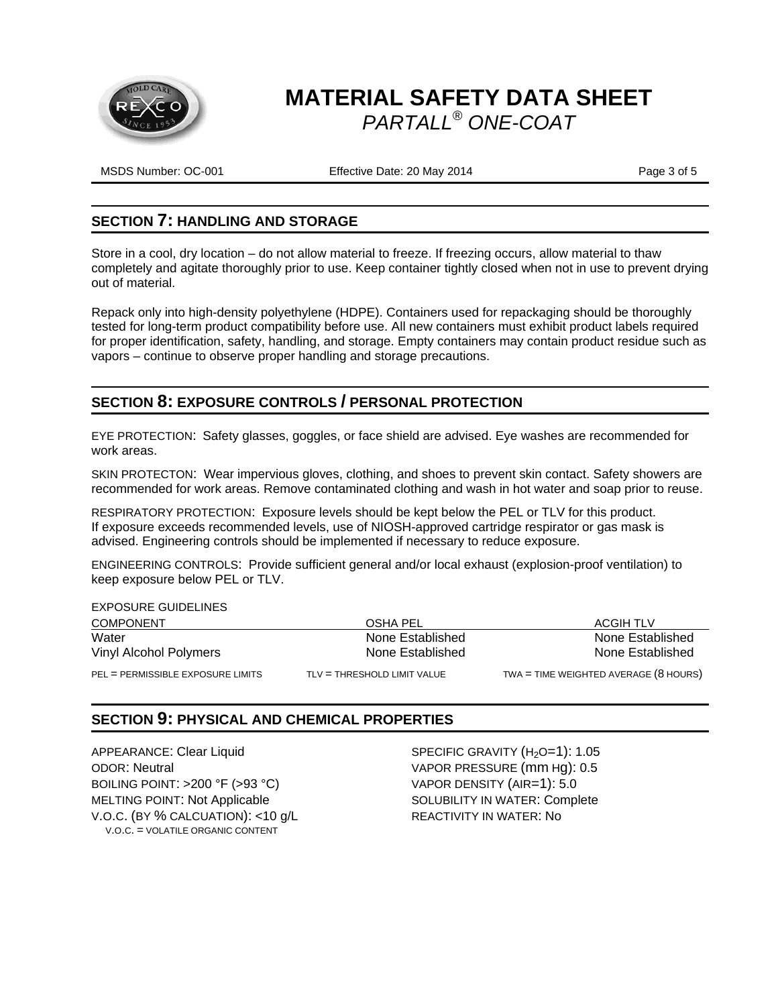

MSDS Number: OC-001 **Effective Date: 20 May 2014** Page 3 of 5

#### **SECTION 7: HANDLING AND STORAGE**

Store in a cool, dry location – do not allow material to freeze. If freezing occurs, allow material to thaw completely and agitate thoroughly prior to use. Keep container tightly closed when not in use to prevent drying out of material.

Repack only into high-density polyethylene (HDPE). Containers used for repackaging should be thoroughly tested for long-term product compatibility before use. All new containers must exhibit product labels required for proper identification, safety, handling, and storage. Empty containers may contain product residue such as vapors – continue to observe proper handling and storage precautions.

## **SECTION 8: EXPOSURE CONTROLS / PERSONAL PROTECTION**

EYE PROTECTION: Safety glasses, goggles, or face shield are advised. Eye washes are recommended for work areas.

SKIN PROTECTON: Wear impervious gloves, clothing, and shoes to prevent skin contact. Safety showers are recommended for work areas. Remove contaminated clothing and wash in hot water and soap prior to reuse.

RESPIRATORY PROTECTION: Exposure levels should be kept below the PEL or TLV for this product. If exposure exceeds recommended levels, use of NIOSH-approved cartridge respirator or gas mask is advised. Engineering controls should be implemented if necessary to reduce exposure.

ENGINEERING CONTROLS: Provide sufficient general and/or local exhaust (explosion-proof ventilation) to keep exposure below PEL or TLV.

| <b>EXPOSURE GUIDELINES</b>        |                               |                                                |
|-----------------------------------|-------------------------------|------------------------------------------------|
| <b>COMPONENT</b>                  | OSHA PEL                      | <b>ACGIH TLV</b>                               |
| Water                             | None Established              | None Established                               |
| Vinyl Alcohol Polymers            | None Established              | None Established                               |
| PEL = PERMISSIBLE EXPOSURE LIMITS | $TLV = THRESHOLD LIMIT VALUE$ | TWA = TIME WEIGHTED AVERAGE $(8 \text{ HOLR})$ |

### **SECTION 9: PHYSICAL AND CHEMICAL PROPERTIES**

APPEARANCE: Clear Liquid SPECIFIC GRAVITY (H<sub>2</sub>O=1): 1.05 ODOR: Neutral VAPOR PRESSURE (mm Hg): 0.5 BOILING POINT: >200 °F (>93 °C) VAPOR DENSITY (AIR=1): 5.0 MELTING POINT: Not Applicable SOLUBILITY IN WATER: Complete V.O.C. (BY % CALCUATION): <10 g/L REACTIVITY IN WATER: No V.O.C. = VOLATILE ORGANIC CONTENT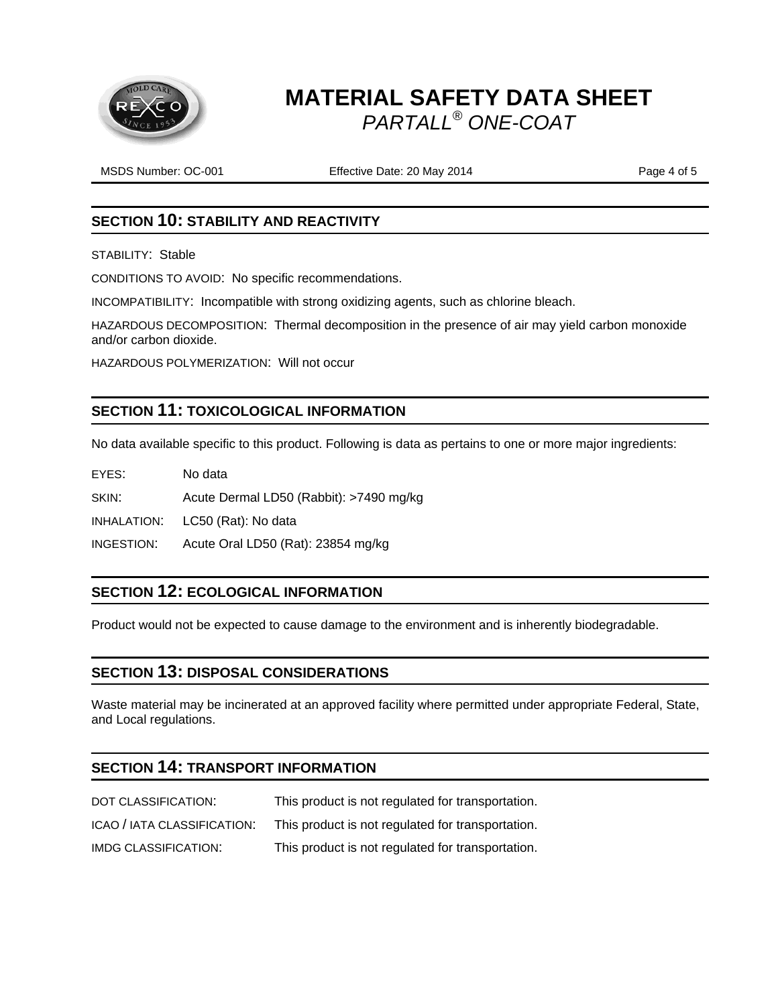

MSDS Number: OC-001 Effective Date: 20 May 2014 Page 4 of 5

### **SECTION 10: STABILITY AND REACTIVITY**

STABILITY: Stable

CONDITIONS TO AVOID: No specific recommendations.

INCOMPATIBILITY: Incompatible with strong oxidizing agents, such as chlorine bleach.

HAZARDOUS DECOMPOSITION: Thermal decomposition in the presence of air may yield carbon monoxide and/or carbon dioxide.

HAZARDOUS POLYMERIZATION: Will not occur

## **SECTION 11: TOXICOLOGICAL INFORMATION**

No data available specific to this product. Following is data as pertains to one or more major ingredients:

EYES: No data

SKIN: Acute Dermal LD50 (Rabbit): >7490 mg/kg

INHALATION: LC50 (Rat): No data

INGESTION: Acute Oral LD50 (Rat): 23854 mg/kg

### **SECTION 12: ECOLOGICAL INFORMATION**

Product would not be expected to cause damage to the environment and is inherently biodegradable.

### **SECTION 13: DISPOSAL CONSIDERATIONS**

Waste material may be incinerated at an approved facility where permitted under appropriate Federal, State, and Local regulations.

## **SECTION 14: TRANSPORT INFORMATION**

| DOT CLASSIFICATION:         | This product is not regulated for transportation. |
|-----------------------------|---------------------------------------------------|
| ICAO / IATA CLASSIFICATION: | This product is not regulated for transportation. |
| IMDG CLASSIFICATION:        | This product is not regulated for transportation. |